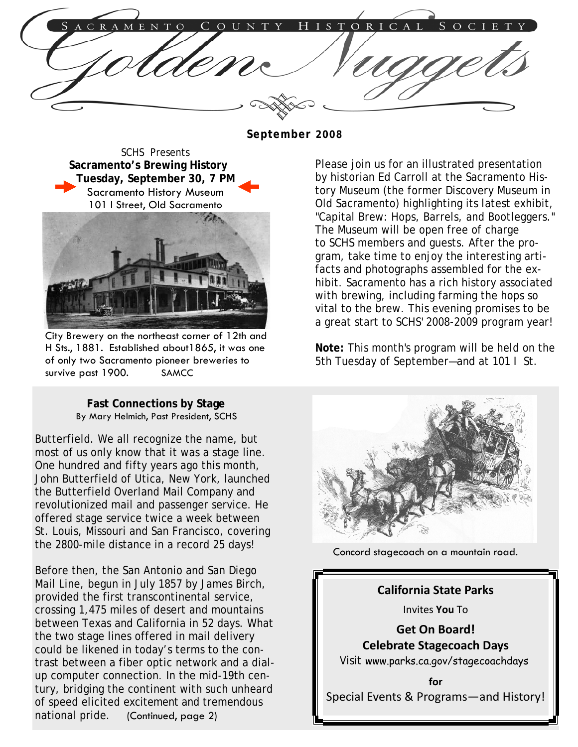ORICAL  $\overline{R}$ T O  $\Omega$ N H S S  $O<sub>C</sub>$ 

**September 2008** 

SCHS Presents **Sacramento's Brewing History Tuesday, September 30, 7 PM**  Sacramento History Museum 101 I Street, Old Sacramento



City Brewery on the northeast corner of 12th and H Sts., 1881. Established about1865, it was one of only two Sacramento pioneer breweries to survive past 1900. SAMCC

**Fast Connections by Stage** By Mary Helmich, Past President, SCHS

Butterfield. We all recognize the name, but most of us only know that it was a stage line. One hundred and fifty years ago this month, John Butterfield of Utica, New York, launched the Butterfield Overland Mail Company and revolutionized mail and passenger service. He offered stage service twice a week between St. Louis, Missouri and San Francisco, covering the 2800-mile distance in a record 25 days!

Before then, the San Antonio and San Diego Mail Line, begun in July 1857 by James Birch, provided the first transcontinental service, crossing 1,475 miles of desert and mountains between Texas and California in 52 days. What the two stage lines offered in mail delivery could be likened in today's terms to the contrast between a fiber optic network and a dialup computer connection. In the mid-19th century, bridging the continent with such unheard of speed elicited excitement and tremendous national pride. (Continued, page 2)

Please join us for an illustrated presentation by historian Ed Carroll at the Sacramento History Museum (the former Discovery Museum in Old Sacramento) highlighting its latest exhibit, "Capital Brew: Hops, Barrels, and Bootleggers." The Museum will be open free of charge to SCHS members and guests. After the program, take time to enjoy the interesting artifacts and photographs assembled for the exhibit. Sacramento has a rich history associated with brewing, including farming the hops so vital to the brew. This evening promises to be a great start to SCHS' 2008-2009 program year!

**Note:** This month's program will be held on the 5th Tuesday of September—and at 101 I St.



Concord stagecoach on a mountain road.

**California State Parks** Invites **You** To **Get On Board! Celebrate Stagecoach Days** Visit www.parks.ca.gov/stagecoachdays **for** Special Events & Programs—and History! ī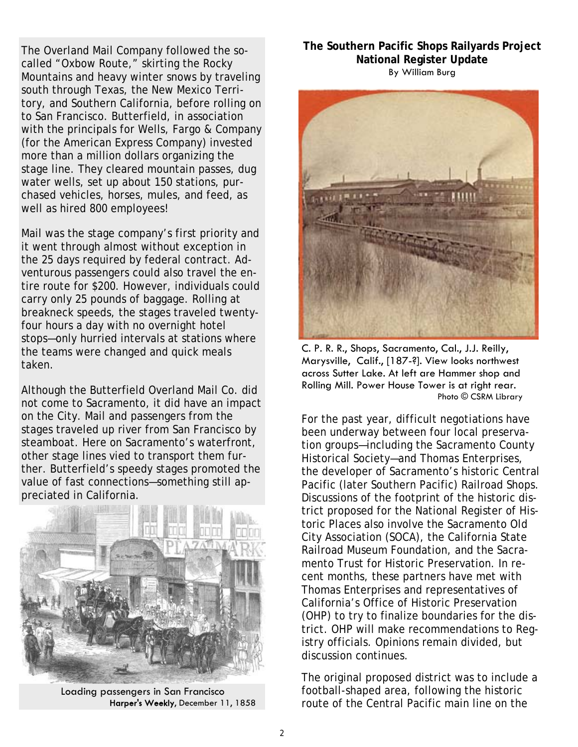The Overland Mail Company followed the socalled "Oxbow Route," skirting the Rocky Mountains and heavy winter snows by traveling south through Texas, the New Mexico Territory, and Southern California, before rolling on to San Francisco. Butterfield, in association with the principals for Wells, Fargo & Company (for the American Express Company) invested more than a million dollars organizing the stage line. They cleared mountain passes, dug water wells, set up about 150 stations, purchased vehicles, horses, mules, and feed, as well as hired 800 employees!

Mail was the stage company's first priority and it went through almost without exception in the 25 days required by federal contract. Adventurous passengers could also travel the entire route for \$200. However, individuals could carry only 25 pounds of baggage. Rolling at breakneck speeds, the stages traveled twentyfour hours a day with no overnight hotel stops—only hurried intervals at stations where the teams were changed and quick meals taken.

Although the Butterfield Overland Mail Co. did not come to Sacramento, it did have an impact on the City. Mail and passengers from the stages traveled up river from San Francisco by steamboat. Here on Sacramento's waterfront, other stage lines vied to transport them further. Butterfield's speedy stages promoted the value of fast connections—something still appreciated in California.



Loading passengers in San Francisco Harper's Weekly, December 11, 1858

**The Southern Pacific Shops Railyards Project National Register Update**  By William Burg



C. P. R. R., Shops, Sacramento, Cal., J.J. Reilly, Marysville, Calif., [187-?]. View looks northwest across Sutter Lake. At left are Hammer shop and Rolling Mill. Power House Tower is at right rear. Photo © CSRM Library

For the past year, difficult negotiations have been underway between four local preservation groups—including the Sacramento County Historical Society—and Thomas Enterprises, the developer of Sacramento's historic Central Pacific (later Southern Pacific) Railroad Shops. Discussions of the footprint of the historic district proposed for the National Register of Historic Places also involve the Sacramento Old City Association (SOCA), the California State Railroad Museum Foundation, and the Sacramento Trust for Historic Preservation. In recent months, these partners have met with Thomas Enterprises and representatives of California's Office of Historic Preservation (OHP) to try to finalize boundaries for the district. OHP will make recommendations to Registry officials. Opinions remain divided, but discussion continues.

The original proposed district was to include a football-shaped area, following the historic route of the Central Pacific main line on the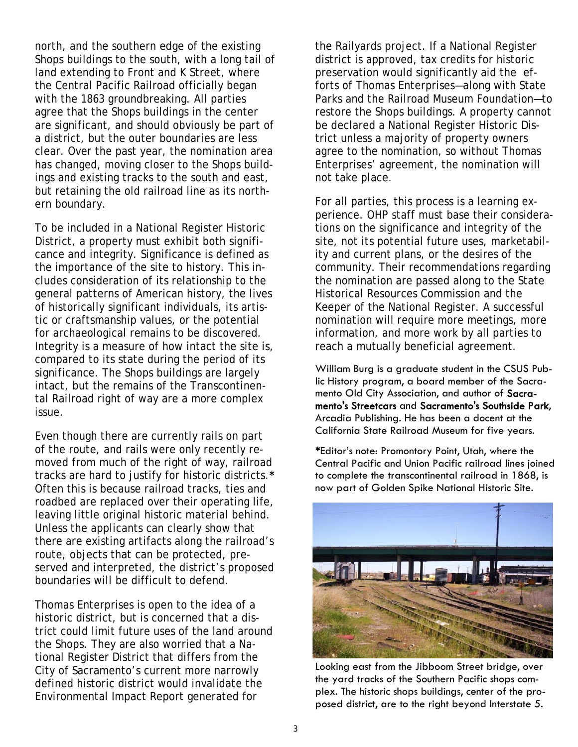north, and the southern edge of the existing Shops buildings to the south, with a long tail of land extending to Front and K Street, where the Central Pacific Railroad officially began with the 1863 groundbreaking. All parties agree that the Shops buildings in the center are significant, and should obviously be part of a district, but the outer boundaries are less clear. Over the past year, the nomination area has changed, moving closer to the Shops buildings and existing tracks to the south and east, but retaining the old railroad line as its northern boundary.

To be included in a National Register Historic District, a property must exhibit both significance and integrity. Significance is defined as the importance of the site to history. This includes consideration of its relationship to the general patterns of American history, the lives of historically significant individuals, its artistic or craftsmanship values, or the potential for archaeological remains to be discovered. Integrity is a measure of how intact the site is, compared to its state during the period of its significance. The Shops buildings are largely intact, but the remains of the Transcontinental Railroad right of way are a more complex issue.

Even though there are currently rails on part of the route, and rails were only recently removed from much of the right of way, railroad tracks are hard to justify for historic districts.**\*** Often this is because railroad tracks, ties and roadbed are replaced over their operating life, leaving little original historic material behind. Unless the applicants can clearly show that there are existing artifacts along the railroad's route, objects that can be protected, preserved and interpreted, the district's proposed boundaries will be difficult to defend.

Thomas Enterprises is open to the idea of a historic district, but is concerned that a district could limit future uses of the land around the Shops. They are also worried that a National Register District that differs from the City of Sacramento's current more narrowly defined historic district would invalidate the Environmental Impact Report generated for

the Railyards project. If a National Register district is approved, tax credits for historic preservation would significantly aid the efforts of Thomas Enterprises—along with State Parks and the Railroad Museum Foundation—to restore the Shops buildings. A property cannot be declared a National Register Historic District unless a majority of property owners agree to the nomination, so without Thomas Enterprises' agreement, the nomination will not take place.

For all parties, this process is a learning experience. OHP staff must base their considerations on the significance and integrity of the site, not its potential future uses, marketability and current plans, or the desires of the community. Their recommendations regarding the nomination are passed along to the State Historical Resources Commission and the Keeper of the National Register. A successful nomination will require more meetings, more information, and more work by all parties to reach a mutually beneficial agreement.

William Burg is a graduate student in the CSUS Public History program, a board member of the Sacramento Old City Association, and author of Sacramento's Streetcars and Sacramento's Southside Park, Arcadia Publishing. He has been a docent at the California State Railroad Museum for five years.

\*Editor's note: Promontory Point, Utah, where the Central Pacific and Union Pacific railroad lines joined to complete the transcontinental railroad in 1868, is now part of Golden Spike National Historic Site.



Looking east from the Jibboom Street bridge, over the yard tracks of the Southern Pacific shops complex. The historic shops buildings, center of the proposed district, are to the right beyond Interstate 5.